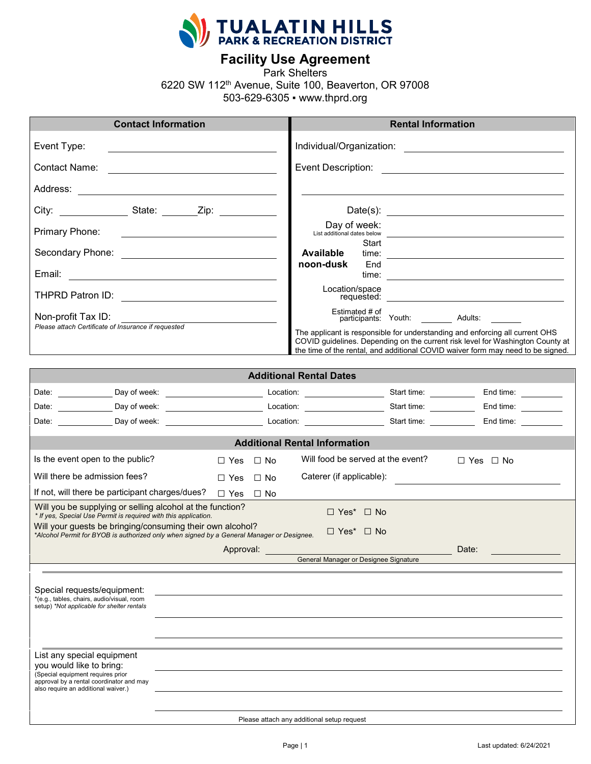

**Facility Use Agreement**

Park Shelters

6220 SW 112th Avenue, Suite 100, Beaverton, OR 97008

503-629-6305 ▪ www.thprd.org

| <b>Contact Information</b>                                                                                                                                                                                                           |                            |                                            | <b>Rental Information</b> |                                                                                                                                                                                                                                                   |  |
|--------------------------------------------------------------------------------------------------------------------------------------------------------------------------------------------------------------------------------------|----------------------------|--------------------------------------------|---------------------------|---------------------------------------------------------------------------------------------------------------------------------------------------------------------------------------------------------------------------------------------------|--|
| Event Type:<br><u> 1989 - Johann Barbara, martin amerikan basar dan basa dan basa dan basa dalam basa dalam basa dalam basa dala</u>                                                                                                 |                            |                                            |                           |                                                                                                                                                                                                                                                   |  |
| Contact Name: <u>____________________________</u>                                                                                                                                                                                    |                            |                                            |                           |                                                                                                                                                                                                                                                   |  |
|                                                                                                                                                                                                                                      |                            |                                            |                           |                                                                                                                                                                                                                                                   |  |
| City: __________________State: ________Zip: _____________                                                                                                                                                                            |                            |                                            |                           | Date(s): $\qquad \qquad$                                                                                                                                                                                                                          |  |
| Primary Phone:                                                                                                                                                                                                                       |                            | Day of week:                               |                           |                                                                                                                                                                                                                                                   |  |
| Secondary Phone: <u>______________________________</u>                                                                                                                                                                               |                            | Start<br><b>Available</b>                  |                           |                                                                                                                                                                                                                                                   |  |
|                                                                                                                                                                                                                                      |                            | noon-dusk<br>End                           |                           |                                                                                                                                                                                                                                                   |  |
|                                                                                                                                                                                                                                      |                            | Location/space                             |                           |                                                                                                                                                                                                                                                   |  |
| Non-profit Tax ID:                                                                                                                                                                                                                   |                            | Estimated # of                             |                           | participants: Youth: Adults:                                                                                                                                                                                                                      |  |
| Please attach Certificate of Insurance if requested                                                                                                                                                                                  |                            |                                            |                           | The applicant is responsible for understanding and enforcing all current OHS<br>COVID guidelines. Depending on the current risk level for Washington County at<br>the time of the rental, and additional COVID waiver form may need to be signed. |  |
|                                                                                                                                                                                                                                      |                            | <b>Additional Rental Dates</b>             |                           |                                                                                                                                                                                                                                                   |  |
| Date: ______________Day of week: _____________________________Location: __________________________Start time: _____________________End time: ___________________                                                                     |                            |                                            |                           |                                                                                                                                                                                                                                                   |  |
|                                                                                                                                                                                                                                      |                            |                                            |                           | End time: $\frac{1}{\sqrt{1-\frac{1}{2}}\cdot\frac{1}{2}}$                                                                                                                                                                                        |  |
| Date: <u>Charles Chapter Charles Charles Charles Charles Charles Charles Charles Charles Charles Charles Charles Charles Charles Charles Charles Charles Charles Charles Charles Charles Charles Charles Charles Charles Charles</u> |                            |                                            |                           |                                                                                                                                                                                                                                                   |  |
|                                                                                                                                                                                                                                      |                            | <b>Additional Rental Information</b>       |                           |                                                                                                                                                                                                                                                   |  |
| Is the event open to the public?                                                                                                                                                                                                     | $\Box$ Yes $\Box$ No       | Will food be served at the event?          |                           | $\Box$ Yes $\Box$ No                                                                                                                                                                                                                              |  |
| Will there be admission fees?                                                                                                                                                                                                        | $\Box$ No<br>$\Box$ Yes    | Caterer (if applicable):                   |                           |                                                                                                                                                                                                                                                   |  |
| If not, will there be participant charges/dues?                                                                                                                                                                                      | $\Box$ Yes $\Box$ No       |                                            |                           |                                                                                                                                                                                                                                                   |  |
| Will you be supplying or selling alcohol at the function?<br>* If yes, Special Use Permit is required with this application.                                                                                                         |                            | $\Box$ Yes* $\Box$ No                      |                           |                                                                                                                                                                                                                                                   |  |
| Will your guests be bringing/consuming their own alcohol?<br>*Alcohol Permit for BYOB is authorized only when signed by a General Manager or Designee.                                                                               |                            | $\Box$ Yes* $\Box$ No                      |                           |                                                                                                                                                                                                                                                   |  |
|                                                                                                                                                                                                                                      | <b>Example 2 Approval:</b> |                                            |                           | Date:                                                                                                                                                                                                                                             |  |
|                                                                                                                                                                                                                                      |                            | General Manager or Designee Signature      |                           |                                                                                                                                                                                                                                                   |  |
| Special requests/equipment:<br>*(e.g., tables, chairs, audio/visual, room<br>setup) *Not applicable for shelter rentals                                                                                                              |                            |                                            |                           |                                                                                                                                                                                                                                                   |  |
| List any special equipment<br>you would like to bring:<br>(Special equipment requires prior<br>approval by a rental coordinator and may<br>also require an additional waiver.)                                                       |                            |                                            |                           |                                                                                                                                                                                                                                                   |  |
|                                                                                                                                                                                                                                      |                            | Please attach any additional setup request |                           |                                                                                                                                                                                                                                                   |  |